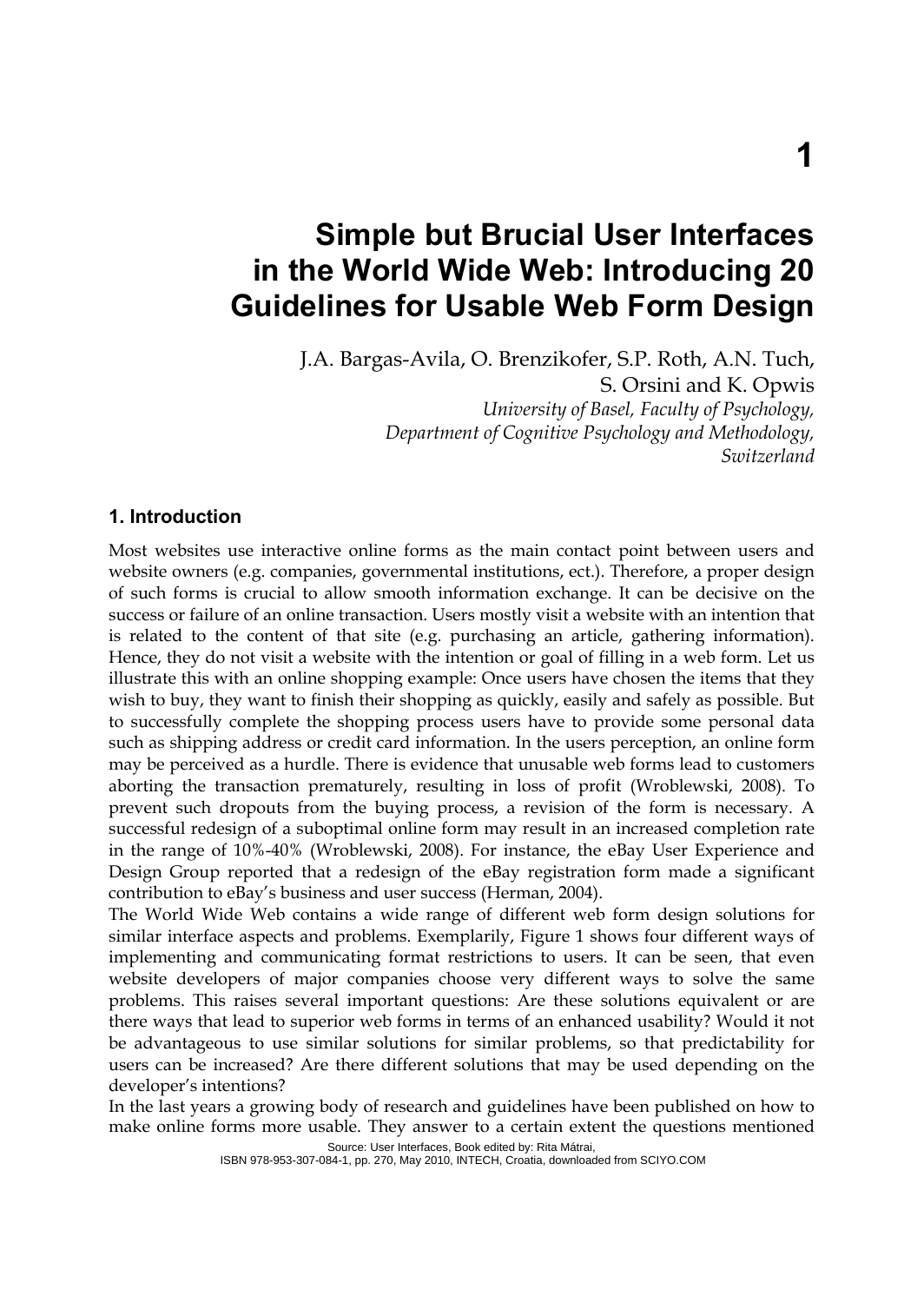# **Simple but Brucial User Interfaces in the World Wide Web: Introducing 20 Guidelines for Usable Web Form Design**

J.A. Bargas-Avila, O. Brenzikofer, S.P. Roth, A.N. Tuch, S. Orsini and K. Opwis *University of Basel, Faculty of Psychology, Department of Cognitive Psychology and Methodology, Switzerland* 

#### **1. Introduction**

Most websites use interactive online forms as the main contact point between users and website owners (e.g. companies, governmental institutions, ect.). Therefore, a proper design of such forms is crucial to allow smooth information exchange. It can be decisive on the success or failure of an online transaction. Users mostly visit a website with an intention that is related to the content of that site (e.g. purchasing an article, gathering information). Hence, they do not visit a website with the intention or goal of filling in a web form. Let us illustrate this with an online shopping example: Once users have chosen the items that they wish to buy, they want to finish their shopping as quickly, easily and safely as possible. But to successfully complete the shopping process users have to provide some personal data such as shipping address or credit card information. In the users perception, an online form may be perceived as a hurdle. There is evidence that unusable web forms lead to customers aborting the transaction prematurely, resulting in loss of profit (Wroblewski, 2008). To prevent such dropouts from the buying process, a revision of the form is necessary. A successful redesign of a suboptimal online form may result in an increased completion rate in the range of 10%-40% (Wroblewski, 2008). For instance, the eBay User Experience and Design Group reported that a redesign of the eBay registration form made a significant contribution to eBay's business and user success (Herman, 2004).

The World Wide Web contains a wide range of different web form design solutions for similar interface aspects and problems. Exemplarily, Figure 1 shows four different ways of implementing and communicating format restrictions to users. It can be seen, that even website developers of major companies choose very different ways to solve the same problems. This raises several important questions: Are these solutions equivalent or are there ways that lead to superior web forms in terms of an enhanced usability? Would it not be advantageous to use similar solutions for similar problems, so that predictability for users can be increased? Are there different solutions that may be used depending on the developer's intentions?

In the last years a growing body of research and guidelines have been published on how to make online forms more usable. They answer to a certain extent the questions mentioned Source: User Interfaces, Book edited by: Rita Mátrai,

ISBN 978-953-307-084-1, pp. 270, May 2010, INTECH, Croatia, downloaded from SCIYO.COM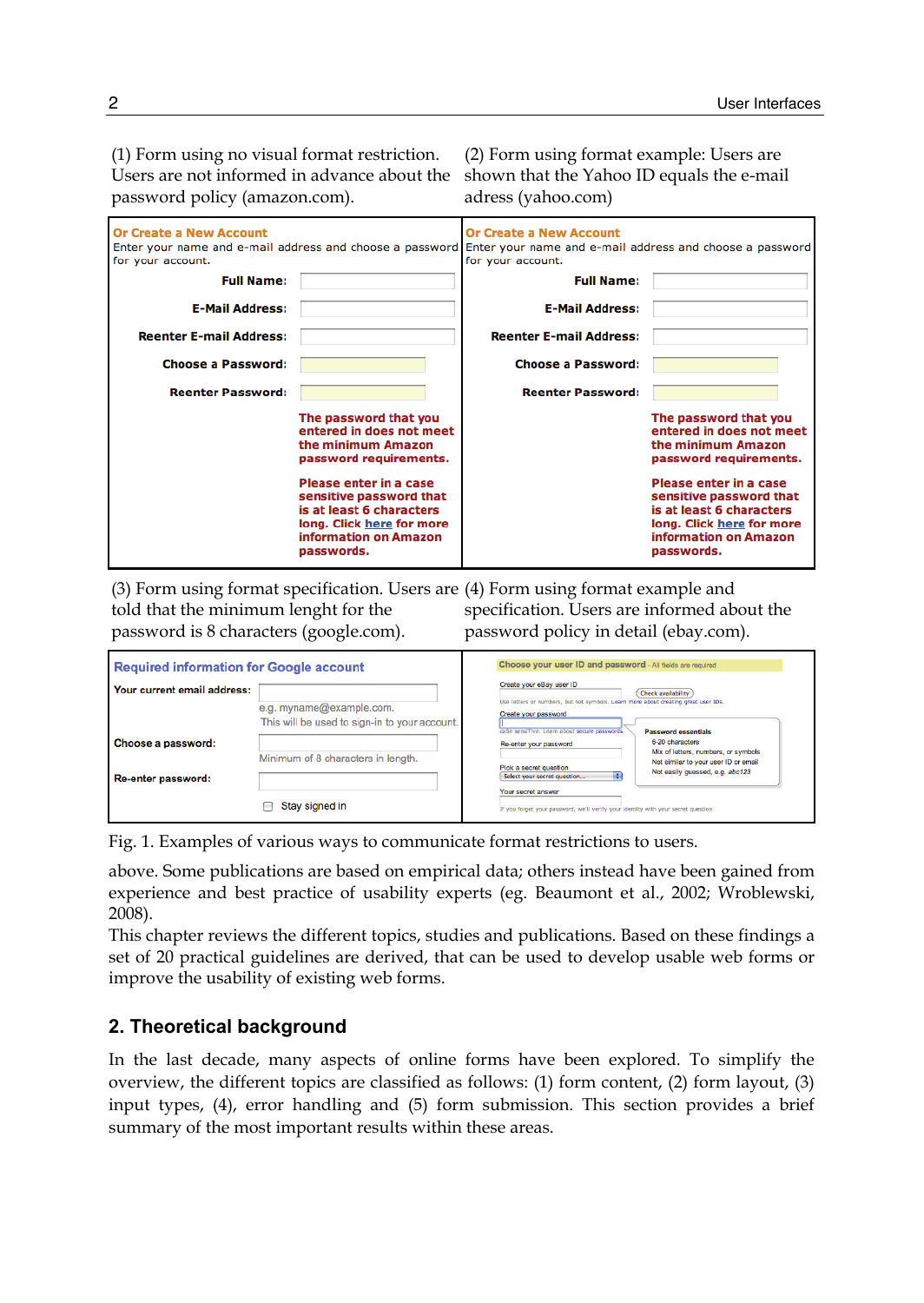(1) Form using no visual format restriction. Users are not informed in advance about the password policy (amazon.com).

(2) Form using format example: Users are shown that the Yahoo ID equals the e-mail adress (yahoo.com)

| Or Create a New Account<br>Enter your name and e-mail address and choose a password<br>for your account. |                                                                                                                                                                                                                                                        | <b>Or Create a New Account</b><br>Enter your name and e-mail address and choose a password<br>for your account. |                                                                                                                                                                                                                                                        |
|----------------------------------------------------------------------------------------------------------|--------------------------------------------------------------------------------------------------------------------------------------------------------------------------------------------------------------------------------------------------------|-----------------------------------------------------------------------------------------------------------------|--------------------------------------------------------------------------------------------------------------------------------------------------------------------------------------------------------------------------------------------------------|
| <b>Full Name:</b>                                                                                        |                                                                                                                                                                                                                                                        | <b>Full Name:</b>                                                                                               |                                                                                                                                                                                                                                                        |
| <b>E-Mail Address:</b>                                                                                   |                                                                                                                                                                                                                                                        | <b>E-Mail Address:</b>                                                                                          |                                                                                                                                                                                                                                                        |
| <b>Reenter E-mail Address:</b>                                                                           |                                                                                                                                                                                                                                                        | <b>Reenter E-mail Address:</b>                                                                                  |                                                                                                                                                                                                                                                        |
| <b>Choose a Password:</b>                                                                                |                                                                                                                                                                                                                                                        | <b>Choose a Password:</b>                                                                                       |                                                                                                                                                                                                                                                        |
| <b>Reenter Password:</b>                                                                                 |                                                                                                                                                                                                                                                        | <b>Reenter Password:</b>                                                                                        |                                                                                                                                                                                                                                                        |
|                                                                                                          | The password that you<br>entered in does not meet<br>the minimum Amazon<br>password requirements.<br>Please enter in a case<br>sensitive password that<br>is at least 6 characters<br>long. Click here for more<br>information on Amazon<br>passwords. |                                                                                                                 | The password that you<br>entered in does not meet<br>the minimum Amazon<br>password requirements.<br>Please enter in a case<br>sensitive password that<br>is at least 6 characters<br>long. Click here for more<br>information on Amazon<br>passwords. |

(3) Form using format specification. Users are (4) Form using format example and told that the minimum lenght for the password is 8 characters (google.com). specification. Users are informed about the password policy in detail (ebay.com).

| <b>Required information for Google account</b> |                                                                           | Choose your user ID and password - All fields are required                                                                              |                                                                                                                                                                 |
|------------------------------------------------|---------------------------------------------------------------------------|-----------------------------------------------------------------------------------------------------------------------------------------|-----------------------------------------------------------------------------------------------------------------------------------------------------------------|
| Your current email address:                    | e.g. myname@example.com.<br>This will be used to sign-in to your account. | Create your eBay user ID<br>Use letters or numbers, but not symbols. Learn more about creating great user IDs.<br>Create your password  | Check availability                                                                                                                                              |
| Choose a password:<br>Re-enter password:       | Minimum of 8 characters in length.                                        | caSe sensiTive. Learn about secure passwords.<br>Re-enter your password<br>Pick a secret question<br>i s<br>Select your secret question | <b>Password essentials</b><br>6-20 characters<br>Mix of letters, numbers, or symbols<br>Not similar to your user ID or email<br>Not easily quessed, e.g. abc123 |
|                                                | Stay signed in                                                            | Your secret answer<br>If you forget your password, we'll verify your identity with your secret question                                 |                                                                                                                                                                 |

Fig. 1. Examples of various ways to communicate format restrictions to users.

above. Some publications are based on empirical data; others instead have been gained from experience and best practice of usability experts (eg. Beaumont et al., 2002; Wroblewski, 2008).

This chapter reviews the different topics, studies and publications. Based on these findings a set of 20 practical guidelines are derived, that can be used to develop usable web forms or improve the usability of existing web forms.

## **2. Theoretical background**

In the last decade, many aspects of online forms have been explored. To simplify the overview, the different topics are classified as follows: (1) form content, (2) form layout, (3) input types, (4), error handling and (5) form submission. This section provides a brief summary of the most important results within these areas.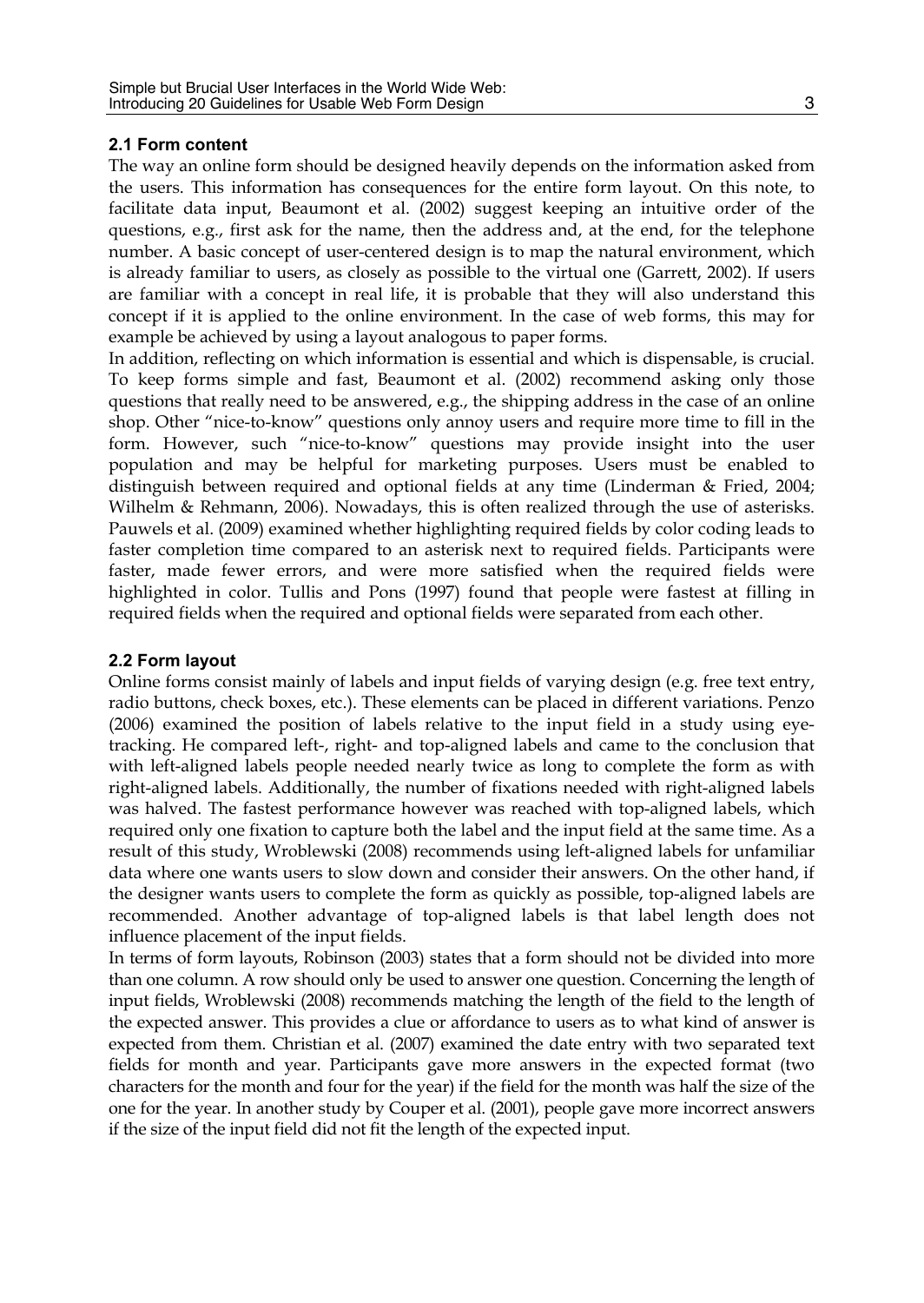#### **2.1 Form content**

The way an online form should be designed heavily depends on the information asked from the users. This information has consequences for the entire form layout. On this note, to facilitate data input, Beaumont et al. (2002) suggest keeping an intuitive order of the questions, e.g., first ask for the name, then the address and, at the end, for the telephone number. A basic concept of user-centered design is to map the natural environment, which is already familiar to users, as closely as possible to the virtual one (Garrett, 2002). If users are familiar with a concept in real life, it is probable that they will also understand this concept if it is applied to the online environment. In the case of web forms, this may for example be achieved by using a layout analogous to paper forms.

In addition, reflecting on which information is essential and which is dispensable, is crucial. To keep forms simple and fast, Beaumont et al. (2002) recommend asking only those questions that really need to be answered, e.g., the shipping address in the case of an online shop. Other "nice-to-know" questions only annoy users and require more time to fill in the form. However, such "nice-to-know" questions may provide insight into the user population and may be helpful for marketing purposes. Users must be enabled to distinguish between required and optional fields at any time (Linderman & Fried, 2004; Wilhelm & Rehmann, 2006). Nowadays, this is often realized through the use of asterisks. Pauwels et al. (2009) examined whether highlighting required fields by color coding leads to faster completion time compared to an asterisk next to required fields. Participants were faster, made fewer errors, and were more satisfied when the required fields were highlighted in color. Tullis and Pons (1997) found that people were fastest at filling in required fields when the required and optional fields were separated from each other.

#### **2.2 Form layout**

Online forms consist mainly of labels and input fields of varying design (e.g. free text entry, radio buttons, check boxes, etc.). These elements can be placed in different variations. Penzo (2006) examined the position of labels relative to the input field in a study using eyetracking. He compared left-, right- and top-aligned labels and came to the conclusion that with left-aligned labels people needed nearly twice as long to complete the form as with right-aligned labels. Additionally, the number of fixations needed with right-aligned labels was halved. The fastest performance however was reached with top-aligned labels, which required only one fixation to capture both the label and the input field at the same time. As a result of this study, Wroblewski (2008) recommends using left-aligned labels for unfamiliar data where one wants users to slow down and consider their answers. On the other hand, if the designer wants users to complete the form as quickly as possible, top-aligned labels are recommended. Another advantage of top-aligned labels is that label length does not influence placement of the input fields.

In terms of form layouts, Robinson (2003) states that a form should not be divided into more than one column. A row should only be used to answer one question. Concerning the length of input fields, Wroblewski (2008) recommends matching the length of the field to the length of the expected answer. This provides a clue or affordance to users as to what kind of answer is expected from them. Christian et al. (2007) examined the date entry with two separated text fields for month and year. Participants gave more answers in the expected format (two characters for the month and four for the year) if the field for the month was half the size of the one for the year. In another study by Couper et al. (2001), people gave more incorrect answers if the size of the input field did not fit the length of the expected input.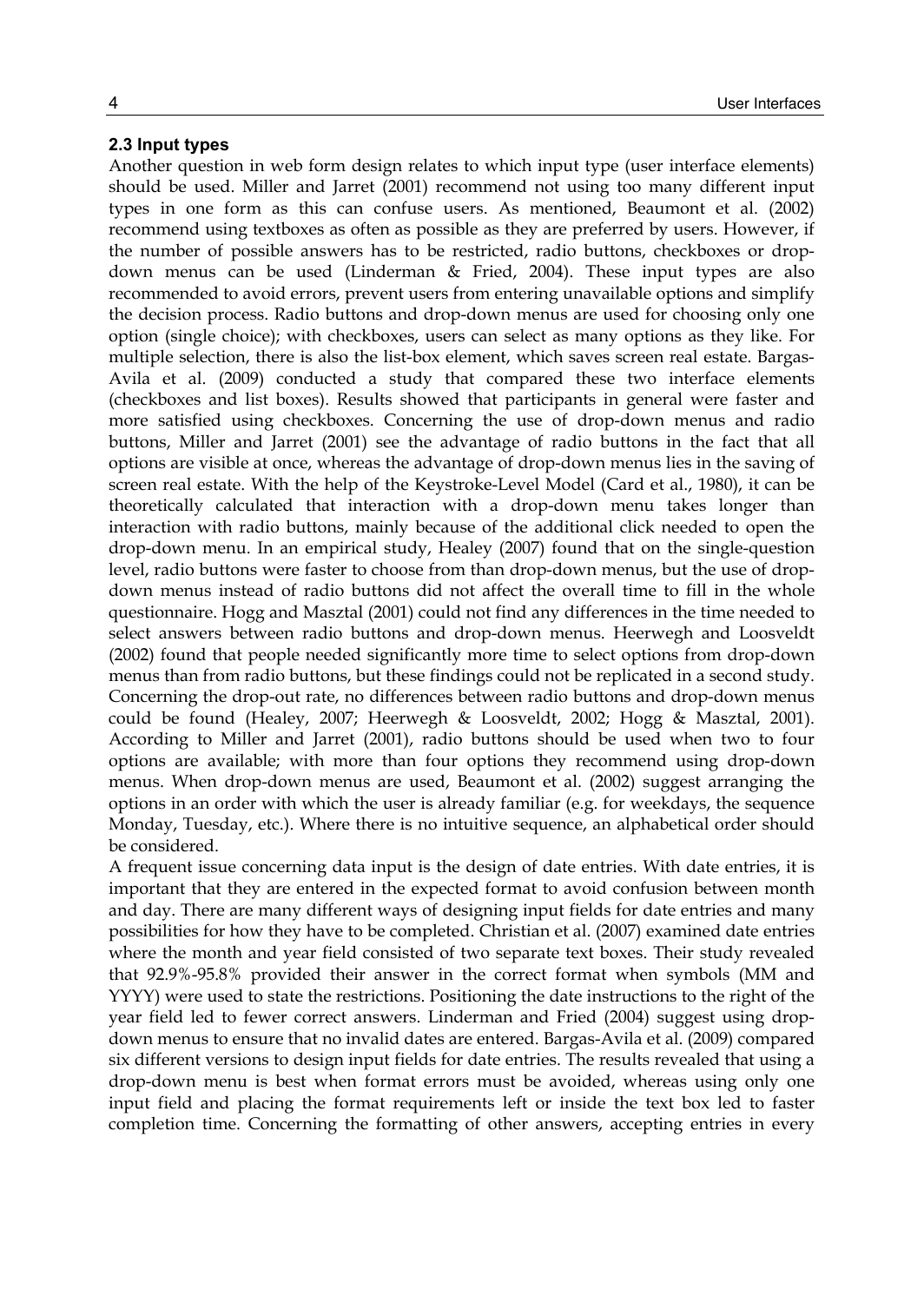# **2.3 Input types**

Another question in web form design relates to which input type (user interface elements) should be used. Miller and Jarret (2001) recommend not using too many different input types in one form as this can confuse users. As mentioned, Beaumont et al. (2002) recommend using textboxes as often as possible as they are preferred by users. However, if the number of possible answers has to be restricted, radio buttons, checkboxes or dropdown menus can be used (Linderman & Fried, 2004). These input types are also recommended to avoid errors, prevent users from entering unavailable options and simplify the decision process. Radio buttons and drop-down menus are used for choosing only one option (single choice); with checkboxes, users can select as many options as they like. For multiple selection, there is also the list-box element, which saves screen real estate. Bargas-Avila et al. (2009) conducted a study that compared these two interface elements (checkboxes and list boxes). Results showed that participants in general were faster and more satisfied using checkboxes. Concerning the use of drop-down menus and radio buttons, Miller and Jarret (2001) see the advantage of radio buttons in the fact that all options are visible at once, whereas the advantage of drop-down menus lies in the saving of screen real estate. With the help of the Keystroke-Level Model (Card et al., 1980), it can be theoretically calculated that interaction with a drop-down menu takes longer than interaction with radio buttons, mainly because of the additional click needed to open the drop-down menu. In an empirical study, Healey (2007) found that on the single-question level, radio buttons were faster to choose from than drop-down menus, but the use of dropdown menus instead of radio buttons did not affect the overall time to fill in the whole questionnaire. Hogg and Masztal (2001) could not find any differences in the time needed to select answers between radio buttons and drop-down menus. Heerwegh and Loosveldt (2002) found that people needed significantly more time to select options from drop-down menus than from radio buttons, but these findings could not be replicated in a second study. Concerning the drop-out rate, no differences between radio buttons and drop-down menus could be found (Healey, 2007; Heerwegh & Loosveldt, 2002; Hogg & Masztal, 2001). According to Miller and Jarret (2001), radio buttons should be used when two to four options are available; with more than four options they recommend using drop-down menus. When drop-down menus are used, Beaumont et al. (2002) suggest arranging the options in an order with which the user is already familiar (e.g. for weekdays, the sequence Monday, Tuesday, etc.). Where there is no intuitive sequence, an alphabetical order should be considered.

A frequent issue concerning data input is the design of date entries. With date entries, it is important that they are entered in the expected format to avoid confusion between month and day. There are many different ways of designing input fields for date entries and many possibilities for how they have to be completed. Christian et al. (2007) examined date entries where the month and year field consisted of two separate text boxes. Their study revealed that 92.9%-95.8% provided their answer in the correct format when symbols (MM and YYYY) were used to state the restrictions. Positioning the date instructions to the right of the year field led to fewer correct answers. Linderman and Fried (2004) suggest using dropdown menus to ensure that no invalid dates are entered. Bargas-Avila et al. (2009) compared six different versions to design input fields for date entries. The results revealed that using a drop-down menu is best when format errors must be avoided, whereas using only one input field and placing the format requirements left or inside the text box led to faster completion time. Concerning the formatting of other answers, accepting entries in every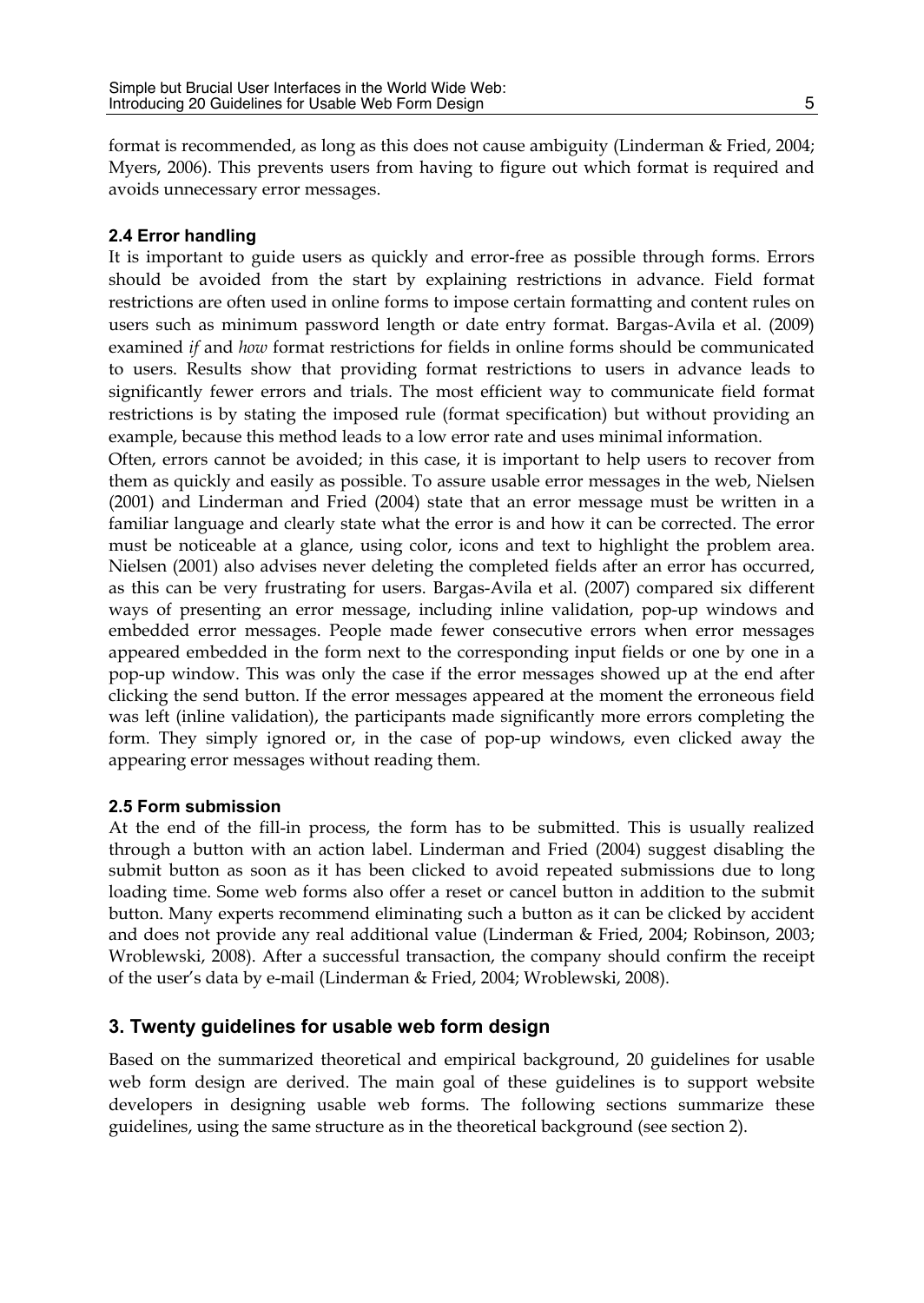format is recommended, as long as this does not cause ambiguity (Linderman & Fried, 2004; Myers, 2006). This prevents users from having to figure out which format is required and avoids unnecessary error messages.

## **2.4 Error handling**

It is important to guide users as quickly and error-free as possible through forms. Errors should be avoided from the start by explaining restrictions in advance. Field format restrictions are often used in online forms to impose certain formatting and content rules on users such as minimum password length or date entry format. Bargas-Avila et al. (2009) examined *if* and *how* format restrictions for fields in online forms should be communicated to users. Results show that providing format restrictions to users in advance leads to significantly fewer errors and trials. The most efficient way to communicate field format restrictions is by stating the imposed rule (format specification) but without providing an example, because this method leads to a low error rate and uses minimal information.

Often, errors cannot be avoided; in this case, it is important to help users to recover from them as quickly and easily as possible. To assure usable error messages in the web, Nielsen (2001) and Linderman and Fried (2004) state that an error message must be written in a familiar language and clearly state what the error is and how it can be corrected. The error must be noticeable at a glance, using color, icons and text to highlight the problem area. Nielsen (2001) also advises never deleting the completed fields after an error has occurred, as this can be very frustrating for users. Bargas-Avila et al. (2007) compared six different ways of presenting an error message, including inline validation, pop-up windows and embedded error messages. People made fewer consecutive errors when error messages appeared embedded in the form next to the corresponding input fields or one by one in a pop-up window. This was only the case if the error messages showed up at the end after clicking the send button. If the error messages appeared at the moment the erroneous field was left (inline validation), the participants made significantly more errors completing the form. They simply ignored or, in the case of pop-up windows, even clicked away the appearing error messages without reading them.

## **2.5 Form submission**

At the end of the fill-in process, the form has to be submitted. This is usually realized through a button with an action label. Linderman and Fried (2004) suggest disabling the submit button as soon as it has been clicked to avoid repeated submissions due to long loading time. Some web forms also offer a reset or cancel button in addition to the submit button. Many experts recommend eliminating such a button as it can be clicked by accident and does not provide any real additional value (Linderman & Fried, 2004; Robinson, 2003; Wroblewski, 2008). After a successful transaction, the company should confirm the receipt of the user's data by e-mail (Linderman & Fried, 2004; Wroblewski, 2008).

# **3. Twenty guidelines for usable web form design**

Based on the summarized theoretical and empirical background, 20 guidelines for usable web form design are derived. The main goal of these guidelines is to support website developers in designing usable web forms. The following sections summarize these guidelines, using the same structure as in the theoretical background (see section 2).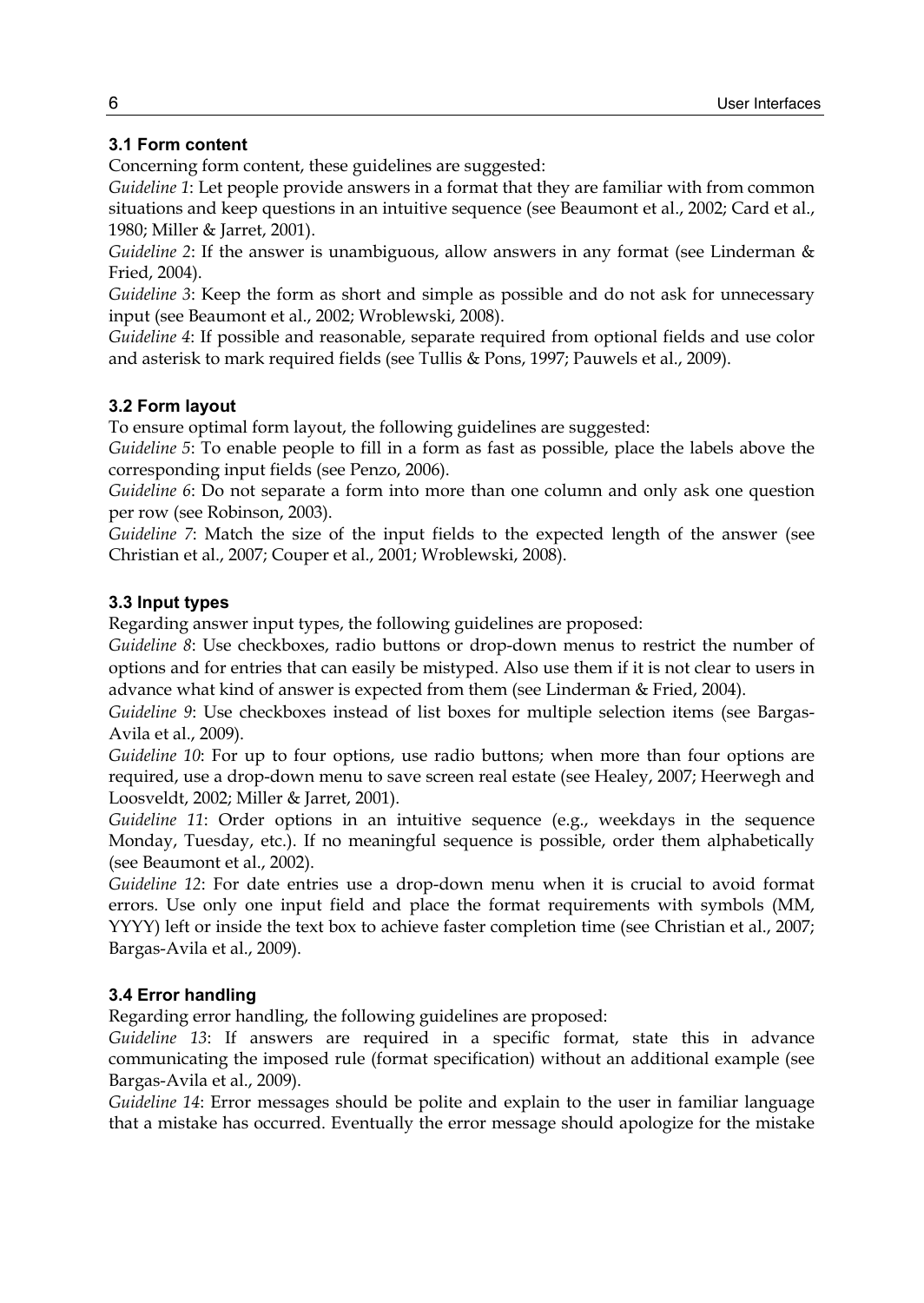# **3.1 Form content**

Concerning form content, these guidelines are suggested:

*Guideline 1*: Let people provide answers in a format that they are familiar with from common situations and keep questions in an intuitive sequence (see Beaumont et al., 2002; Card et al., 1980; Miller & Jarret, 2001).

*Guideline 2*: If the answer is unambiguous, allow answers in any format (see Linderman & Fried, 2004).

*Guideline 3*: Keep the form as short and simple as possible and do not ask for unnecessary input (see Beaumont et al., 2002; Wroblewski, 2008).

*Guideline 4*: If possible and reasonable, separate required from optional fields and use color and asterisk to mark required fields (see Tullis & Pons, 1997; Pauwels et al., 2009).

## **3.2 Form layout**

To ensure optimal form layout, the following guidelines are suggested:

*Guideline 5*: To enable people to fill in a form as fast as possible, place the labels above the corresponding input fields (see Penzo, 2006).

*Guideline 6*: Do not separate a form into more than one column and only ask one question per row (see Robinson, 2003).

*Guideline 7*: Match the size of the input fields to the expected length of the answer (see Christian et al., 2007; Couper et al., 2001; Wroblewski, 2008).

## **3.3 Input types**

Regarding answer input types, the following guidelines are proposed:

*Guideline 8*: Use checkboxes, radio buttons or drop-down menus to restrict the number of options and for entries that can easily be mistyped. Also use them if it is not clear to users in advance what kind of answer is expected from them (see Linderman & Fried, 2004).

*Guideline 9*: Use checkboxes instead of list boxes for multiple selection items (see Bargas-Avila et al., 2009).

*Guideline 10*: For up to four options, use radio buttons; when more than four options are required, use a drop-down menu to save screen real estate (see Healey, 2007; Heerwegh and Loosveldt, 2002; Miller & Jarret, 2001).

*Guideline 11*: Order options in an intuitive sequence (e.g., weekdays in the sequence Monday, Tuesday, etc.). If no meaningful sequence is possible, order them alphabetically (see Beaumont et al., 2002).

*Guideline 12*: For date entries use a drop-down menu when it is crucial to avoid format errors. Use only one input field and place the format requirements with symbols (MM, YYYY) left or inside the text box to achieve faster completion time (see Christian et al., 2007; Bargas-Avila et al., 2009).

## **3.4 Error handling**

Regarding error handling, the following guidelines are proposed:

*Guideline 13*: If answers are required in a specific format, state this in advance communicating the imposed rule (format specification) without an additional example (see Bargas-Avila et al., 2009).

*Guideline 14*: Error messages should be polite and explain to the user in familiar language that a mistake has occurred. Eventually the error message should apologize for the mistake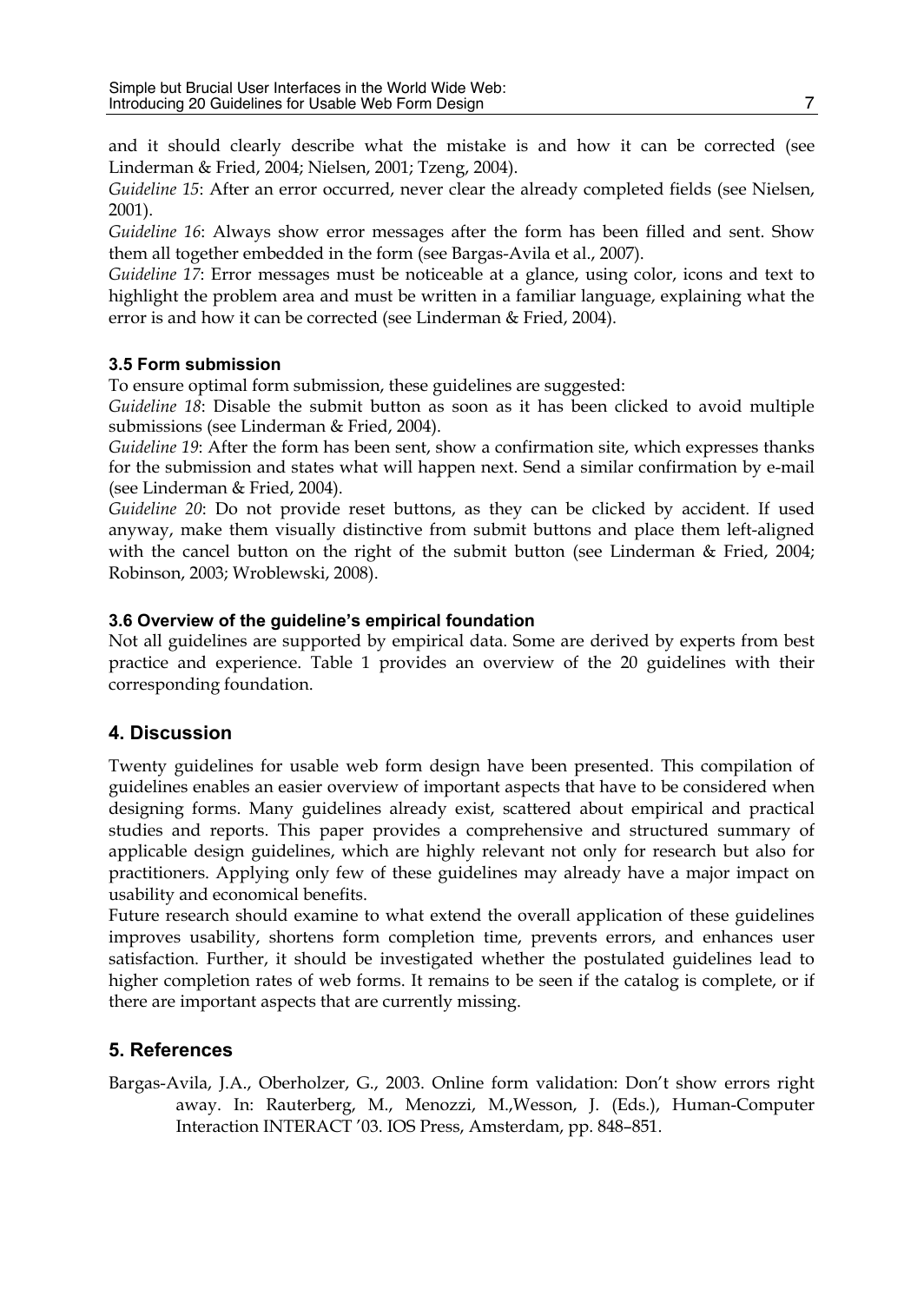and it should clearly describe what the mistake is and how it can be corrected (see Linderman & Fried, 2004; Nielsen, 2001; Tzeng, 2004).

*Guideline 15*: After an error occurred, never clear the already completed fields (see Nielsen, 2001).

*Guideline 16*: Always show error messages after the form has been filled and sent. Show them all together embedded in the form (see Bargas-Avila et al., 2007).

*Guideline 17*: Error messages must be noticeable at a glance, using color, icons and text to highlight the problem area and must be written in a familiar language, explaining what the error is and how it can be corrected (see Linderman & Fried, 2004).

## **3.5 Form submission**

To ensure optimal form submission, these guidelines are suggested:

*Guideline 18*: Disable the submit button as soon as it has been clicked to avoid multiple submissions (see Linderman & Fried, 2004).

*Guideline 19:* After the form has been sent, show a confirmation site, which expresses thanks for the submission and states what will happen next. Send a similar confirmation by e-mail (see Linderman & Fried, 2004).

*Guideline 20*: Do not provide reset buttons, as they can be clicked by accident. If used anyway, make them visually distinctive from submit buttons and place them left-aligned with the cancel button on the right of the submit button (see Linderman & Fried, 2004; Robinson, 2003; Wroblewski, 2008).

## **3.6 Overview of the guideline's empirical foundation**

Not all guidelines are supported by empirical data. Some are derived by experts from best practice and experience. Table 1 provides an overview of the 20 guidelines with their corresponding foundation.

# **4. Discussion**

Twenty guidelines for usable web form design have been presented. This compilation of guidelines enables an easier overview of important aspects that have to be considered when designing forms. Many guidelines already exist, scattered about empirical and practical studies and reports. This paper provides a comprehensive and structured summary of applicable design guidelines, which are highly relevant not only for research but also for practitioners. Applying only few of these guidelines may already have a major impact on usability and economical benefits.

Future research should examine to what extend the overall application of these guidelines improves usability, shortens form completion time, prevents errors, and enhances user satisfaction. Further, it should be investigated whether the postulated guidelines lead to higher completion rates of web forms. It remains to be seen if the catalog is complete, or if there are important aspects that are currently missing.

# **5. References**

Bargas-Avila, J.A., Oberholzer, G., 2003. Online form validation: Don't show errors right away. In: Rauterberg, M., Menozzi, M.,Wesson, J. (Eds.), Human-Computer Interaction INTERACT '03. IOS Press, Amsterdam, pp. 848–851.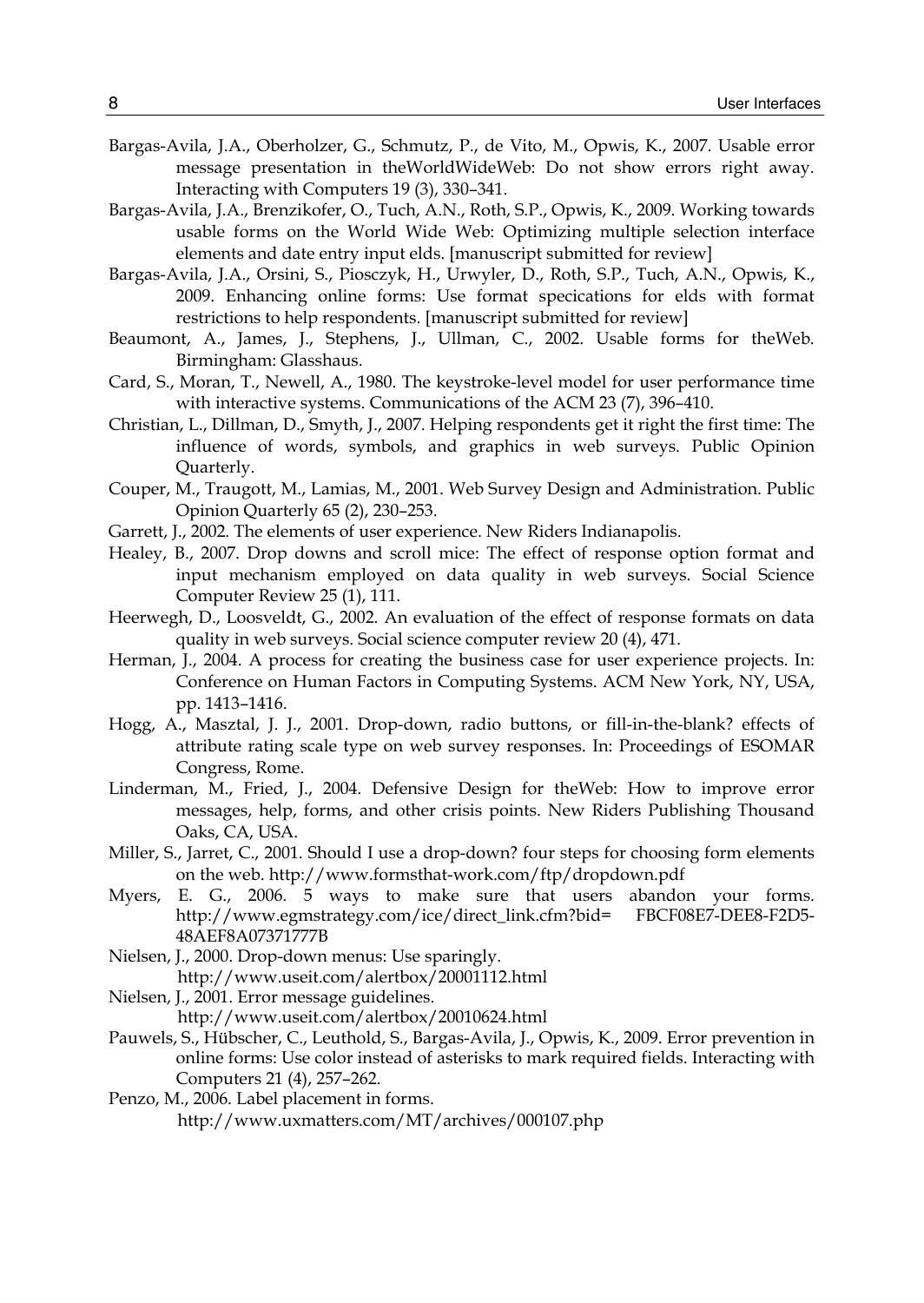- Bargas-Avila, J.A., Oberholzer, G., Schmutz, P., de Vito, M., Opwis, K., 2007. Usable error message presentation in theWorldWideWeb: Do not show errors right away. Interacting with Computers 19 (3), 330–341.
- Bargas-Avila, J.A., Brenzikofer, O., Tuch, A.N., Roth, S.P., Opwis, K., 2009. Working towards usable forms on the World Wide Web: Optimizing multiple selection interface elements and date entry input elds. [manuscript submitted for review]
- Bargas-Avila, J.A., Orsini, S., Piosczyk, H., Urwyler, D., Roth, S.P., Tuch, A.N., Opwis, K., 2009. Enhancing online forms: Use format specications for elds with format restrictions to help respondents. [manuscript submitted for review]
- Beaumont, A., James, J., Stephens, J., Ullman, C., 2002. Usable forms for theWeb. Birmingham: Glasshaus.
- Card, S., Moran, T., Newell, A., 1980. The keystroke-level model for user performance time with interactive systems. Communications of the ACM 23 (7), 396–410.
- Christian, L., Dillman, D., Smyth, J., 2007. Helping respondents get it right the first time: The influence of words, symbols, and graphics in web surveys. Public Opinion Quarterly.
- Couper, M., Traugott, M., Lamias, M., 2001. Web Survey Design and Administration. Public Opinion Quarterly 65 (2), 230–253.
- Garrett, J., 2002. The elements of user experience. New Riders Indianapolis.
- Healey, B., 2007. Drop downs and scroll mice: The effect of response option format and input mechanism employed on data quality in web surveys. Social Science Computer Review 25 (1), 111.
- Heerwegh, D., Loosveldt, G., 2002. An evaluation of the effect of response formats on data quality in web surveys. Social science computer review 20 (4), 471.
- Herman, J., 2004. A process for creating the business case for user experience projects. In: Conference on Human Factors in Computing Systems. ACM New York, NY, USA, pp. 1413–1416.
- Hogg, A., Masztal, J. J., 2001. Drop-down, radio buttons, or fill-in-the-blank? effects of attribute rating scale type on web survey responses. In: Proceedings of ESOMAR Congress, Rome.
- Linderman, M., Fried, J., 2004. Defensive Design for theWeb: How to improve error messages, help, forms, and other crisis points. New Riders Publishing Thousand Oaks, CA, USA.
- Miller, S., Jarret, C., 2001. Should I use a drop-down? four steps for choosing form elements on the web. http://www.formsthat-work.com/ftp/dropdown.pdf
- Myers, E. G., 2006. 5 ways to make sure that users abandon your forms. http://www.egmstrategy.com/ice/direct\_link.cfm?bid= FBCF08E7-DEE8-F2D5- 48AEF8A07371777B
- Nielsen, J., 2000. Drop-down menus: Use sparingly. http://www.useit.com/alertbox/20001112.html
- Nielsen, J., 2001. Error message guidelines.
	- http://www.useit.com/alertbox/20010624.html
- Pauwels, S., Hübscher, C., Leuthold, S., Bargas-Avila, J., Opwis, K., 2009. Error prevention in online forms: Use color instead of asterisks to mark required fields. Interacting with Computers 21 (4), 257–262.
- Penzo, M., 2006. Label placement in forms. http://www.uxmatters.com/MT/archives/000107.php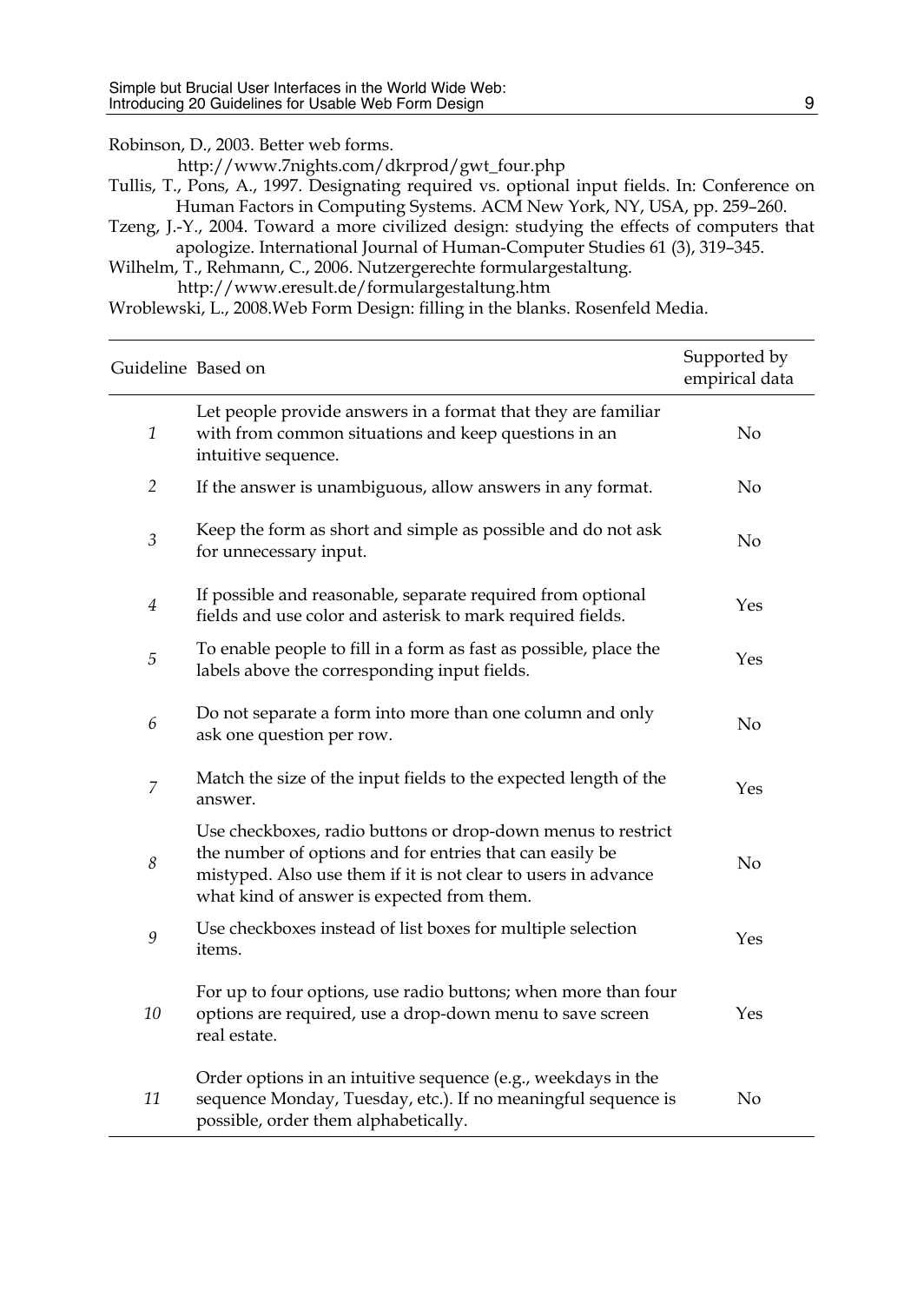## Robinson, D., 2003. Better web forms.

http://www.7nights.com/dkrprod/gwt\_four.php

- Tullis, T., Pons, A., 1997. Designating required vs. optional input fields. In: Conference on Human Factors in Computing Systems. ACM New York, NY, USA, pp. 259–260.
- Tzeng, J.-Y., 2004. Toward a more civilized design: studying the effects of computers that apologize. International Journal of Human-Computer Studies 61 (3), 319–345.
- Wilhelm, T., Rehmann, C., 2006. Nutzergerechte formulargestaltung.
	- http://www.eresult.de/formulargestaltung.htm

Wroblewski, L., 2008.Web Form Design: filling in the blanks. Rosenfeld Media.

| Guideline Based on |                                                                                                                                                                                                                                          | Supported by<br>empirical data |
|--------------------|------------------------------------------------------------------------------------------------------------------------------------------------------------------------------------------------------------------------------------------|--------------------------------|
| 1                  | Let people provide answers in a format that they are familiar<br>with from common situations and keep questions in an<br>intuitive sequence.                                                                                             | No                             |
| 2                  | If the answer is unambiguous, allow answers in any format.                                                                                                                                                                               | No                             |
| 3                  | Keep the form as short and simple as possible and do not ask<br>for unnecessary input.                                                                                                                                                   | No                             |
| 4                  | If possible and reasonable, separate required from optional<br>fields and use color and asterisk to mark required fields.                                                                                                                | Yes                            |
| 5                  | To enable people to fill in a form as fast as possible, place the<br>labels above the corresponding input fields.                                                                                                                        | Yes                            |
| 6                  | Do not separate a form into more than one column and only<br>ask one question per row.                                                                                                                                                   | No                             |
| 7                  | Match the size of the input fields to the expected length of the<br>answer.                                                                                                                                                              | Yes                            |
| 8                  | Use checkboxes, radio buttons or drop-down menus to restrict<br>the number of options and for entries that can easily be<br>mistyped. Also use them if it is not clear to users in advance<br>what kind of answer is expected from them. | No                             |
| 9                  | Use checkboxes instead of list boxes for multiple selection<br>items.                                                                                                                                                                    | Yes                            |
| 10                 | For up to four options, use radio buttons; when more than four<br>options are required, use a drop-down menu to save screen<br>real estate.                                                                                              | Yes                            |
| 11                 | Order options in an intuitive sequence (e.g., weekdays in the<br>sequence Monday, Tuesday, etc.). If no meaningful sequence is<br>possible, order them alphabetically.                                                                   | No                             |